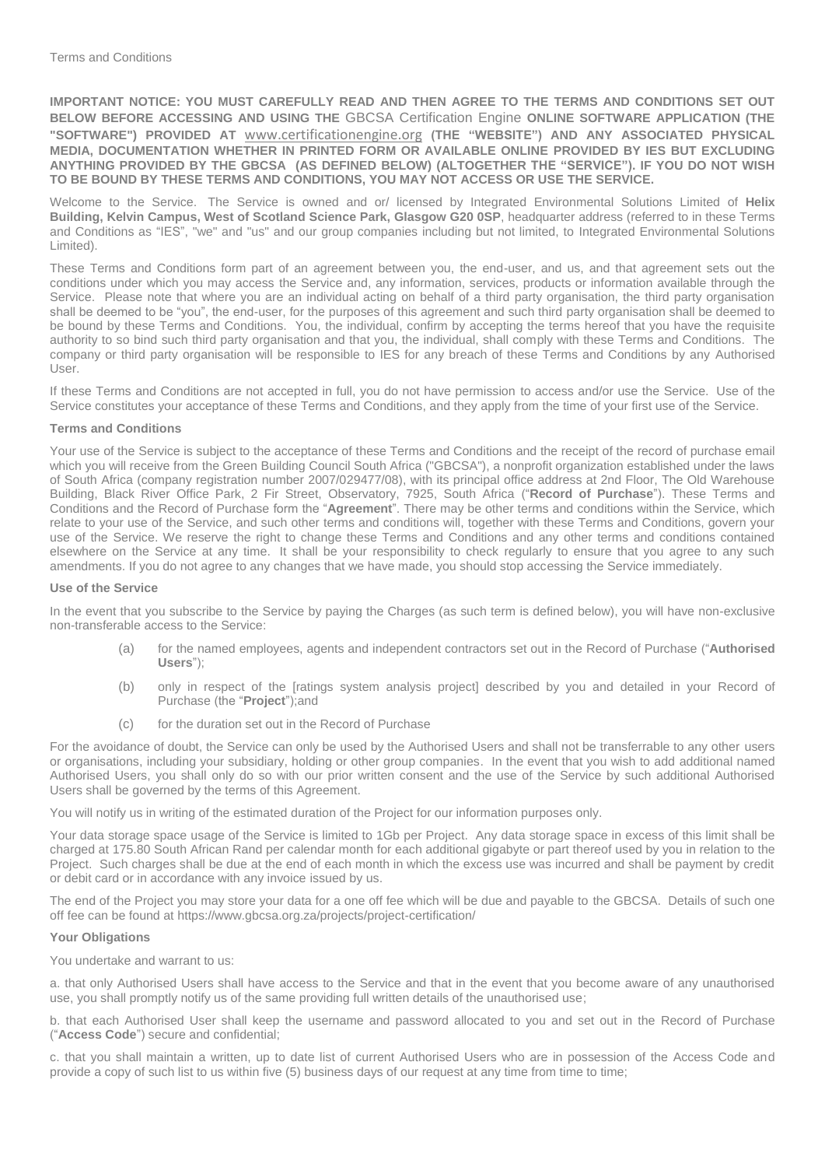**IMPORTANT NOTICE: YOU MUST CAREFULLY READ AND THEN AGREE TO THE TERMS AND CONDITIONS SET OUT BELOW BEFORE ACCESSING AND USING THE** GBCSA Certification Engine **ONLINE SOFTWARE APPLICATION (THE "SOFTWARE") PROVIDED AT** [www.certificationengine.org](http://www.certificationengine.org/) **(THE "WEBSITE") AND ANY ASSOCIATED PHYSICAL MEDIA, DOCUMENTATION WHETHER IN PRINTED FORM OR AVAILABLE ONLINE PROVIDED BY IES BUT EXCLUDING ANYTHING PROVIDED BY THE GBCSA (AS DEFINED BELOW) (ALTOGETHER THE "SERVICE"). IF YOU DO NOT WISH TO BE BOUND BY THESE TERMS AND CONDITIONS, YOU MAY NOT ACCESS OR USE THE SERVICE.** 

Welcome to the Service. The Service is owned and or/ licensed by Integrated Environmental Solutions Limited of **Helix Building, Kelvin Campus, West of Scotland Science Park, Glasgow G20 0SP**, headquarter address (referred to in these Terms and Conditions as "IES", "we" and "us" and our group companies including but not limited, to Integrated Environmental Solutions Limited).

These Terms and Conditions form part of an agreement between you, the end-user, and us, and that agreement sets out the conditions under which you may access the Service and, any information, services, products or information available through the Service. Please note that where you are an individual acting on behalf of a third party organisation, the third party organisation shall be deemed to be "you", the end-user, for the purposes of this agreement and such third party organisation shall be deemed to be bound by these Terms and Conditions. You, the individual, confirm by accepting the terms hereof that you have the requisite authority to so bind such third party organisation and that you, the individual, shall comply with these Terms and Conditions. The company or third party organisation will be responsible to IES for any breach of these Terms and Conditions by any Authorised User.

If these Terms and Conditions are not accepted in full, you do not have permission to access and/or use the Service. Use of the Service constitutes your acceptance of these Terms and Conditions, and they apply from the time of your first use of the Service.

### **Terms and Conditions**

Your use of the Service is subject to the acceptance of these Terms and Conditions and the receipt of the record of purchase email which you will receive from the Green Building Council South Africa ("GBCSA"), a nonprofit organization established under the laws of South Africa (company registration number 2007/029477/08), with its principal office address at 2nd Floor, The Old Warehouse Building, Black River Office Park, 2 Fir Street, Observatory, 7925, South Africa ("**Record of Purchase**"). These Terms and Conditions and the Record of Purchase form the "**Agreement**". There may be other terms and conditions within the Service, which relate to your use of the Service, and such other terms and conditions will, together with these Terms and Conditions, govern your use of the Service. We reserve the right to change these Terms and Conditions and any other terms and conditions contained elsewhere on the Service at any time. It shall be your responsibility to check regularly to ensure that you agree to any such amendments. If you do not agree to any changes that we have made, you should stop accessing the Service immediately.

#### **Use of the Service**

In the event that you subscribe to the Service by paying the Charges (as such term is defined below), you will have non-exclusive non-transferable access to the Service:

- (a) for the named employees, agents and independent contractors set out in the Record of Purchase ("**Authorised Users**");
- (b) only in respect of the [ratings system analysis project] described by you and detailed in your Record of Purchase (the "**Project**");and
- (c) for the duration set out in the Record of Purchase

For the avoidance of doubt, the Service can only be used by the Authorised Users and shall not be transferrable to any other users or organisations, including your subsidiary, holding or other group companies. In the event that you wish to add additional named Authorised Users, you shall only do so with our prior written consent and the use of the Service by such additional Authorised Users shall be governed by the terms of this Agreement.

You will notify us in writing of the estimated duration of the Project for our information purposes only.

Your data storage space usage of the Service is limited to 1Gb per Project. Any data storage space in excess of this limit shall be charged at 175.80 South African Rand per calendar month for each additional gigabyte or part thereof used by you in relation to the Project. Such charges shall be due at the end of each month in which the excess use was incurred and shall be payment by credit or debit card or in accordance with any invoice issued by us.

The end of the Project you may store your data for a one off fee which will be due and payable to the GBCSA. Details of such one off fee can be found at https://www.gbcsa.org.za/projects/project-certification/

### **Your Obligations**

You undertake and warrant to us:

a. that only Authorised Users shall have access to the Service and that in the event that you become aware of any unauthorised use, you shall promptly notify us of the same providing full written details of the unauthorised use;

b. that each Authorised User shall keep the username and password allocated to you and set out in the Record of Purchase ("**Access Code**") secure and confidential;

c. that you shall maintain a written, up to date list of current Authorised Users who are in possession of the Access Code and provide a copy of such list to us within five (5) business days of our request at any time from time to time;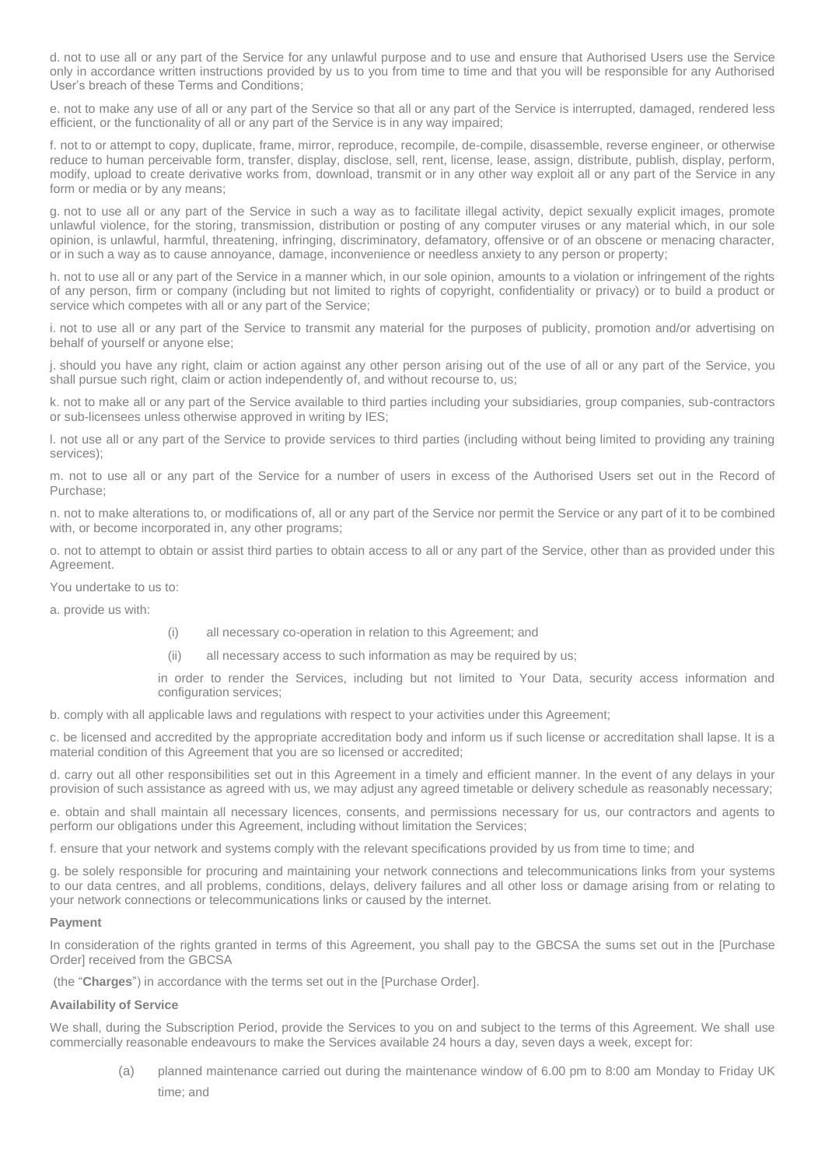d. not to use all or any part of the Service for any unlawful purpose and to use and ensure that Authorised Users use the Service only in accordance written instructions provided by us to you from time to time and that you will be responsible for any Authorised User's breach of these Terms and Conditions;

e. not to make any use of all or any part of the Service so that all or any part of the Service is interrupted, damaged, rendered less efficient, or the functionality of all or any part of the Service is in any way impaired;

f. not to or attempt to copy, duplicate, frame, mirror, reproduce, recompile, de-compile, disassemble, reverse engineer, or otherwise reduce to human perceivable form, transfer, display, disclose, sell, rent, license, lease, assign, distribute, publish, display, perform, modify, upload to create derivative works from, download, transmit or in any other way exploit all or any part of the Service in any form or media or by any means;

g. not to use all or any part of the Service in such a way as to facilitate illegal activity, depict sexually explicit images, promote unlawful violence, for the storing, transmission, distribution or posting of any computer viruses or any material which, in our sole opinion, is unlawful, harmful, threatening, infringing, discriminatory, defamatory, offensive or of an obscene or menacing character, or in such a way as to cause annoyance, damage, inconvenience or needless anxiety to any person or property;

h. not to use all or any part of the Service in a manner which, in our sole opinion, amounts to a violation or infringement of the rights of any person, firm or company (including but not limited to rights of copyright, confidentiality or privacy) or to build a product or service which competes with all or any part of the Service;

i. not to use all or any part of the Service to transmit any material for the purposes of publicity, promotion and/or advertising on behalf of yourself or anyone else;

j. should you have any right, claim or action against any other person arising out of the use of all or any part of the Service, you shall pursue such right, claim or action independently of, and without recourse to, us;

k. not to make all or any part of the Service available to third parties including your subsidiaries, group companies, sub-contractors or sub-licensees unless otherwise approved in writing by IES;

l. not use all or any part of the Service to provide services to third parties (including without being limited to providing any training services);

m. not to use all or any part of the Service for a number of users in excess of the Authorised Users set out in the Record of Purchase;

n. not to make alterations to, or modifications of, all or any part of the Service nor permit the Service or any part of it to be combined with, or become incorporated in, any other programs;

o. not to attempt to obtain or assist third parties to obtain access to all or any part of the Service, other than as provided under this Agreement.

You undertake to us to:

a. provide us with:

- (i) all necessary co-operation in relation to this Agreement; and
- (ii) all necessary access to such information as may be required by us;

in order to render the Services, including but not limited to Your Data, security access information and configuration services;

b. comply with all applicable laws and regulations with respect to your activities under this Agreement;

c. be licensed and accredited by the appropriate accreditation body and inform us if such license or accreditation shall lapse. It is a material condition of this Agreement that you are so licensed or accredited;

d. carry out all other responsibilities set out in this Agreement in a timely and efficient manner. In the event of any delays in your provision of such assistance as agreed with us, we may adjust any agreed timetable or delivery schedule as reasonably necessary;

e. obtain and shall maintain all necessary licences, consents, and permissions necessary for us, our contractors and agents to perform our obligations under this Agreement, including without limitation the Services;

f. ensure that your network and systems comply with the relevant specifications provided by us from time to time; and

g. be solely responsible for procuring and maintaining your network connections and telecommunications links from your systems to our data centres, and all problems, conditions, delays, delivery failures and all other loss or damage arising from or relating to your network connections or telecommunications links or caused by the internet.

# **Payment**

In consideration of the rights granted in terms of this Agreement, you shall pay to the GBCSA the sums set out in the [Purchase Order] received from the GBCSA

(the "**Charges**") in accordance with the terms set out in the [Purchase Order].

# **Availability of Service**

We shall, during the Subscription Period, provide the Services to you on and subject to the terms of this Agreement. We shall use commercially reasonable endeavours to make the Services available 24 hours a day, seven days a week, except for:

(a) planned maintenance carried out during the maintenance window of 6.00 pm to 8:00 am Monday to Friday UK time; and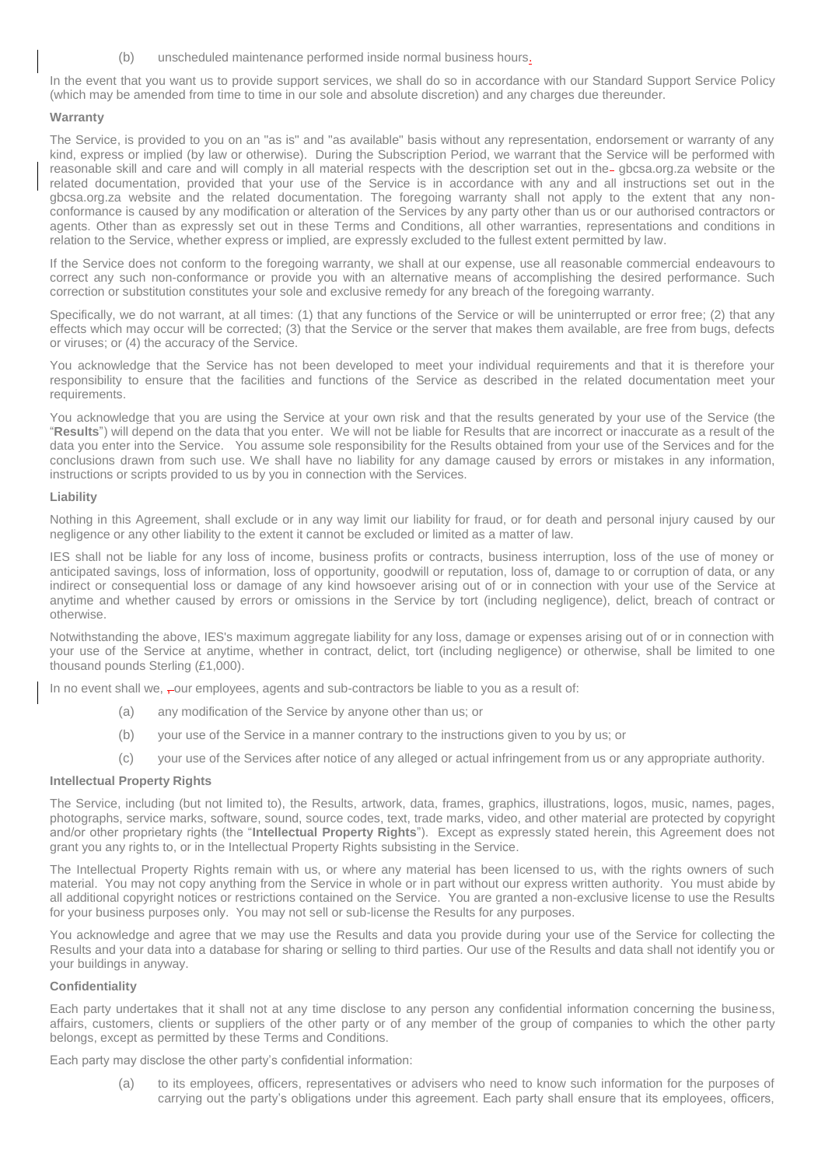(b) unscheduled maintenance performed inside normal business hours.

In the event that you want us to provide support services, we shall do so in accordance with our Standard Support Service Policy (which may be amended from time to time in our sole and absolute discretion) and any charges due thereunder.

# **Warranty**

The Service, is provided to you on an "as is" and "as available" basis without any representation, endorsement or warranty of any kind, express or implied (by law or otherwise). During the Subscription Period, we warrant that the Service will be performed with reasonable skill and care and will comply in all material respects with the description set out in the gbcsa.org.za website or the related documentation, provided that your use of the Service is in accordance with any and all instructions set out in the gbcsa.org.za website and the related documentation. The foregoing warranty shall not apply to the extent that any nonconformance is caused by any modification or alteration of the Services by any party other than us or our authorised contractors or agents. Other than as expressly set out in these Terms and Conditions, all other warranties, representations and conditions in relation to the Service, whether express or implied, are expressly excluded to the fullest extent permitted by law.

If the Service does not conform to the foregoing warranty, we shall at our expense, use all reasonable commercial endeavours to correct any such non-conformance or provide you with an alternative means of accomplishing the desired performance. Such correction or substitution constitutes your sole and exclusive remedy for any breach of the foregoing warranty.

Specifically, we do not warrant, at all times: (1) that any functions of the Service or will be uninterrupted or error free; (2) that any effects which may occur will be corrected; (3) that the Service or the server that makes them available, are free from bugs, defects or viruses; or (4) the accuracy of the Service.

You acknowledge that the Service has not been developed to meet your individual requirements and that it is therefore your responsibility to ensure that the facilities and functions of the Service as described in the related documentation meet your requirements.

You acknowledge that you are using the Service at your own risk and that the results generated by your use of the Service (the "**Results**") will depend on the data that you enter. We will not be liable for Results that are incorrect or inaccurate as a result of the data you enter into the Service. You assume sole responsibility for the Results obtained from your use of the Services and for the conclusions drawn from such use. We shall have no liability for any damage caused by errors or mistakes in any information, instructions or scripts provided to us by you in connection with the Services.

# **Liability**

Nothing in this Agreement, shall exclude or in any way limit our liability for fraud, or for death and personal injury caused by our negligence or any other liability to the extent it cannot be excluded or limited as a matter of law.

IES shall not be liable for any loss of income, business profits or contracts, business interruption, loss of the use of money or anticipated savings, loss of information, loss of opportunity, goodwill or reputation, loss of, damage to or corruption of data, or any indirect or consequential loss or damage of any kind howsoever arising out of or in connection with your use of the Service at anytime and whether caused by errors or omissions in the Service by tort (including negligence), delict, breach of contract or otherwise.

Notwithstanding the above, IES's maximum aggregate liability for any loss, damage or expenses arising out of or in connection with your use of the Service at anytime, whether in contract, delict, tort (including negligence) or otherwise, shall be limited to one thousand pounds Sterling (£1,000).

In no event shall we,  $\frac{1}{r}$  our employees, agents and sub-contractors be liable to you as a result of:

- (a) any modification of the Service by anyone other than us; or
- (b) your use of the Service in a manner contrary to the instructions given to you by us; or
- (c) your use of the Services after notice of any alleged or actual infringement from us or any appropriate authority.

# **Intellectual Property Rights**

The Service, including (but not limited to), the Results, artwork, data, frames, graphics, illustrations, logos, music, names, pages, photographs, service marks, software, sound, source codes, text, trade marks, video, and other material are protected by copyright and/or other proprietary rights (the "**Intellectual Property Rights**"). Except as expressly stated herein, this Agreement does not grant you any rights to, or in the Intellectual Property Rights subsisting in the Service.

The Intellectual Property Rights remain with us, or where any material has been licensed to us, with the rights owners of such material. You may not copy anything from the Service in whole or in part without our express written authority. You must abide by all additional copyright notices or restrictions contained on the Service. You are granted a non-exclusive license to use the Results for your business purposes only. You may not sell or sub-license the Results for any purposes.

You acknowledge and agree that we may use the Results and data you provide during your use of the Service for collecting the Results and your data into a database for sharing or selling to third parties. Our use of the Results and data shall not identify you or your buildings in anyway.

# **Confidentiality**

Each party undertakes that it shall not at any time disclose to any person any confidential information concerning the business, affairs, customers, clients or suppliers of the other party or of any member of the group of companies to which the other party belongs, except as permitted by these Terms and Conditions.

Each party may disclose the other party's confidential information:

(a) to its employees, officers, representatives or advisers who need to know such information for the purposes of carrying out the party's obligations under this agreement. Each party shall ensure that its employees, officers,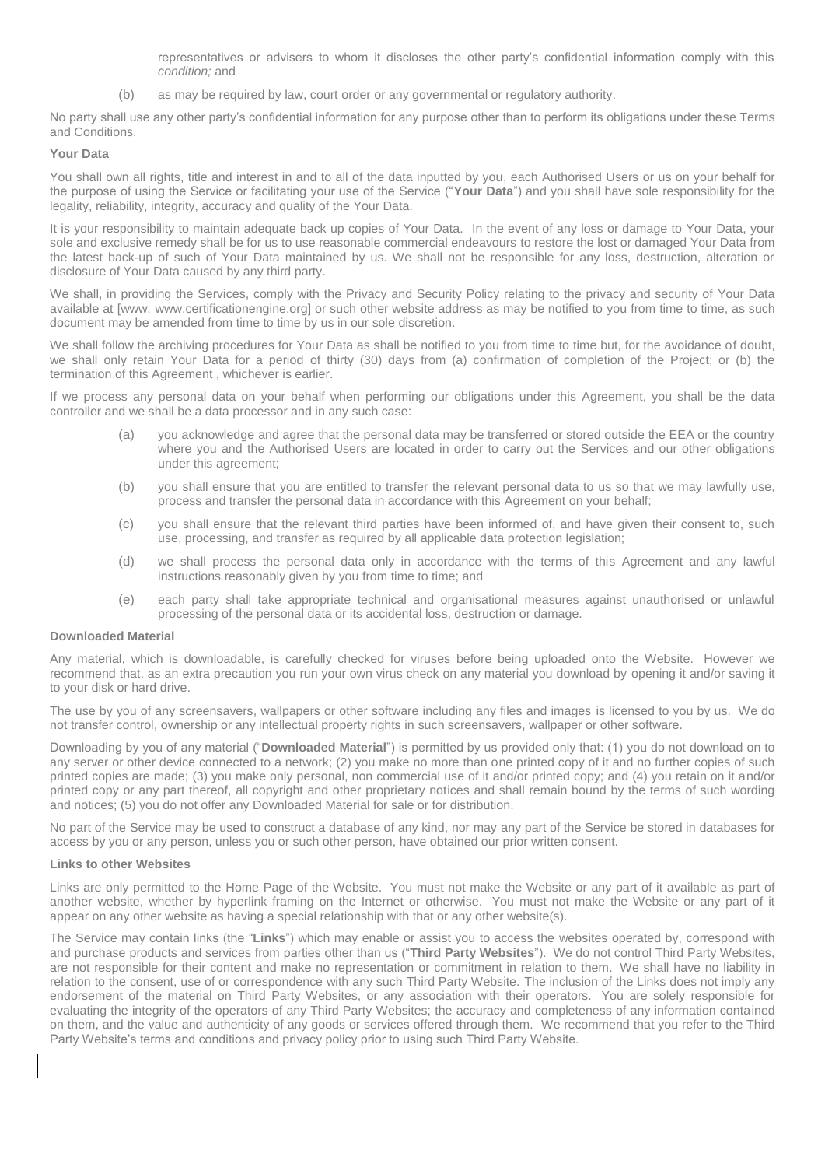representatives or advisers to whom it discloses the other party's confidential information comply with this *condition;* and

(b) as may be required by law, court order or any governmental or regulatory authority.

No party shall use any other party's confidential information for any purpose other than to perform its obligations under these Terms and Conditions.

### **Your Data**

You shall own all rights, title and interest in and to all of the data inputted by you, each Authorised Users or us on your behalf for the purpose of using the Service or facilitating your use of the Service ("**Your Data**") and you shall have sole responsibility for the legality, reliability, integrity, accuracy and quality of the Your Data.

It is your responsibility to maintain adequate back up copies of Your Data. In the event of any loss or damage to Your Data, your sole and exclusive remedy shall be for us to use reasonable commercial endeavours to restore the lost or damaged Your Data from the latest back-up of such of Your Data maintained by us. We shall not be responsible for any loss, destruction, alteration or disclosure of Your Data caused by any third party.

We shall, in providing the Services, comply with the Privacy and Security Policy relating to the privacy and security of Your Data available at [www. www.certificationengine.org] or such other website address as may be notified to you from time to time, as such document may be amended from time to time by us in our sole discretion.

We shall follow the archiving procedures for Your Data as shall be notified to you from time to time but, for the avoidance of doubt, we shall only retain Your Data for a period of thirty (30) days from (a) confirmation of completion of the Project; or (b) the termination of this Agreement , whichever is earlier.

If we process any personal data on your behalf when performing our obligations under this Agreement, you shall be the data controller and we shall be a data processor and in any such case:

- (a) you acknowledge and agree that the personal data may be transferred or stored outside the EEA or the country where you and the Authorised Users are located in order to carry out the Services and our other obligations under this agreement;
- (b) you shall ensure that you are entitled to transfer the relevant personal data to us so that we may lawfully use, process and transfer the personal data in accordance with this Agreement on your behalf;
- (c) you shall ensure that the relevant third parties have been informed of, and have given their consent to, such use, processing, and transfer as required by all applicable data protection legislation;
- (d) we shall process the personal data only in accordance with the terms of this Agreement and any lawful instructions reasonably given by you from time to time; and
- (e) each party shall take appropriate technical and organisational measures against unauthorised or unlawful processing of the personal data or its accidental loss, destruction or damage.

#### **Downloaded Material**

Any material, which is downloadable, is carefully checked for viruses before being uploaded onto the Website. However we recommend that, as an extra precaution you run your own virus check on any material you download by opening it and/or saving it to your disk or hard drive.

The use by you of any screensavers, wallpapers or other software including any files and images is licensed to you by us. We do not transfer control, ownership or any intellectual property rights in such screensavers, wallpaper or other software.

Downloading by you of any material ("**Downloaded Material**") is permitted by us provided only that: (1) you do not download on to any server or other device connected to a network; (2) you make no more than one printed copy of it and no further copies of such printed copies are made; (3) you make only personal, non commercial use of it and/or printed copy; and (4) you retain on it and/or printed copy or any part thereof, all copyright and other proprietary notices and shall remain bound by the terms of such wording and notices; (5) you do not offer any Downloaded Material for sale or for distribution.

No part of the Service may be used to construct a database of any kind, nor may any part of the Service be stored in databases for access by you or any person, unless you or such other person, have obtained our prior written consent.

#### **Links to other Websites**

Links are only permitted to the Home Page of the Website. You must not make the Website or any part of it available as part of another website, whether by hyperlink framing on the Internet or otherwise. You must not make the Website or any part of it appear on any other website as having a special relationship with that or any other website(s).

The Service may contain links (the "**Links**") which may enable or assist you to access the websites operated by, correspond with and purchase products and services from parties other than us ("**Third Party Websites**"). We do not control Third Party Websites, are not responsible for their content and make no representation or commitment in relation to them. We shall have no liability in relation to the consent, use of or correspondence with any such Third Party Website. The inclusion of the Links does not imply any endorsement of the material on Third Party Websites, or any association with their operators. You are solely responsible for evaluating the integrity of the operators of any Third Party Websites; the accuracy and completeness of any information contained on them, and the value and authenticity of any goods or services offered through them. We recommend that you refer to the Third Party Website's terms and conditions and privacy policy prior to using such Third Party Website.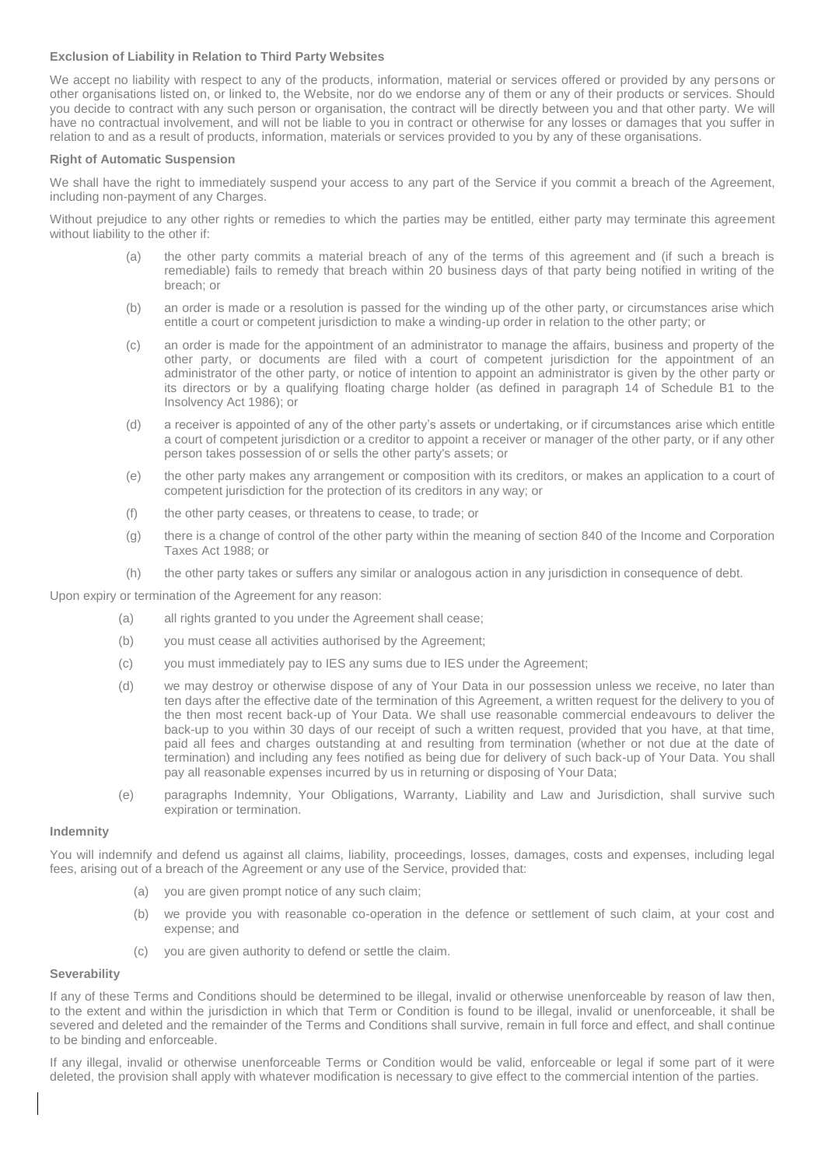# **Exclusion of Liability in Relation to Third Party Websites**

We accept no liability with respect to any of the products, information, material or services offered or provided by any persons or other organisations listed on, or linked to, the Website, nor do we endorse any of them or any of their products or services. Should you decide to contract with any such person or organisation, the contract will be directly between you and that other party. We will have no contractual involvement, and will not be liable to you in contract or otherwise for any losses or damages that you suffer in relation to and as a result of products, information, materials or services provided to you by any of these organisations.

# **Right of Automatic Suspension**

We shall have the right to immediately suspend your access to any part of the Service if you commit a breach of the Agreement, including non-payment of any Charges.

Without prejudice to any other rights or remedies to which the parties may be entitled, either party may terminate this agreement without liability to the other if:

- (a) the other party commits a material breach of any of the terms of this agreement and (if such a breach is remediable) fails to remedy that breach within 20 business days of that party being notified in writing of the breach; or
- (b) an order is made or a resolution is passed for the winding up of the other party, or circumstances arise which entitle a court or competent jurisdiction to make a winding-up order in relation to the other party; or
- (c) an order is made for the appointment of an administrator to manage the affairs, business and property of the other party, or documents are filed with a court of competent jurisdiction for the appointment of an administrator of the other party, or notice of intention to appoint an administrator is given by the other party or its directors or by a qualifying floating charge holder (as defined in paragraph 14 of Schedule B1 to the Insolvency Act 1986); or
- (d) a receiver is appointed of any of the other party's assets or undertaking, or if circumstances arise which entitle a court of competent jurisdiction or a creditor to appoint a receiver or manager of the other party, or if any other person takes possession of or sells the other party's assets; or
- (e) the other party makes any arrangement or composition with its creditors, or makes an application to a court of competent jurisdiction for the protection of its creditors in any way; or
- (f) the other party ceases, or threatens to cease, to trade; or
- (g) there is a change of control of the other party within the meaning of section 840 of the Income and Corporation Taxes Act 1988; or
- (h) the other party takes or suffers any similar or analogous action in any jurisdiction in consequence of debt.

Upon expiry or termination of the Agreement for any reason:

- (a) all rights granted to you under the Agreement shall cease;
- (b) you must cease all activities authorised by the Agreement;
- (c) you must immediately pay to IES any sums due to IES under the Agreement;
- (d) we may destroy or otherwise dispose of any of Your Data in our possession unless we receive, no later than ten days after the effective date of the termination of this Agreement, a written request for the delivery to you of the then most recent back-up of Your Data. We shall use reasonable commercial endeavours to deliver the back-up to you within 30 days of our receipt of such a written request, provided that you have, at that time, paid all fees and charges outstanding at and resulting from termination (whether or not due at the date of termination) and including any fees notified as being due for delivery of such back-up of Your Data. You shall pay all reasonable expenses incurred by us in returning or disposing of Your Data;
- (e) paragraphs Indemnity, Your Obligations, Warranty, Liability and Law and Jurisdiction, shall survive such expiration or termination.

# **Indemnity**

You will indemnify and defend us against all claims, liability, proceedings, losses, damages, costs and expenses, including legal fees, arising out of a breach of the Agreement or any use of the Service, provided that:

- (a) you are given prompt notice of any such claim;
- (b) we provide you with reasonable co-operation in the defence or settlement of such claim, at your cost and expense; and
- (c) you are given authority to defend or settle the claim.

# **Severability**

If any of these Terms and Conditions should be determined to be illegal, invalid or otherwise unenforceable by reason of law then, to the extent and within the jurisdiction in which that Term or Condition is found to be illegal, invalid or unenforceable, it shall be severed and deleted and the remainder of the Terms and Conditions shall survive, remain in full force and effect, and shall continue to be binding and enforceable.

If any illegal, invalid or otherwise unenforceable Terms or Condition would be valid, enforceable or legal if some part of it were deleted, the provision shall apply with whatever modification is necessary to give effect to the commercial intention of the parties.